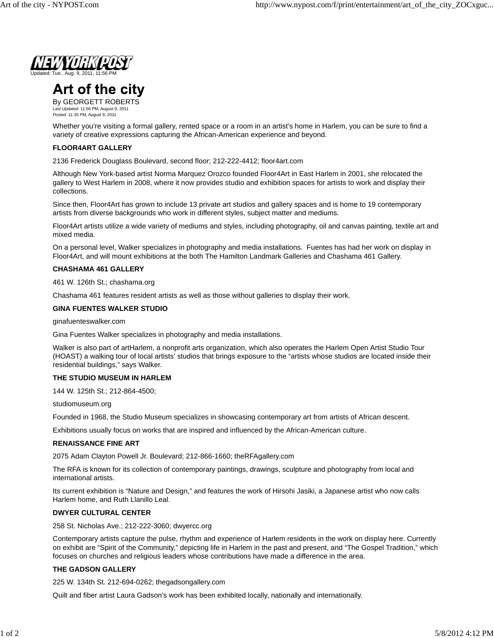

# Art of the city

By GEORGETT ROBERTS *Last Updated:* 11:56 PM, August 9, 2011 *Posted:* 11:35 PM, August 9, 2011

Whether you're visiting a formal gallery, rented space or a room in an artist's home in Harlem, you can be sure to find a variety of creative expressions capturing the African-American experience and beyond.

## **FLOOR4ART GALLERY**

2136 Frederick Douglass Boulevard, second floor; 212-222-4412; floor4art.com

Although New York-based artist Norma Marquez Orozco founded Floor4Art in East Harlem in 2001, she relocated the gallery to West Harlem in 2008, where it now provides studio and exhibition spaces for artists to work and display their collections.

Since then, Floor4Art has grown to include 13 private art studios and gallery spaces and is home to 19 contemporary artists from diverse backgrounds who work in different styles, subject matter and mediums.

Floor4Art artists utilize a wide variety of mediums and styles, including photography, oil and canvas painting, textile art and mixed media.

On a personal level, Walker specializes in photography and media installations. Fuentes has had her work on display in Floor4Art, and will mount exhibitions at the both The Hamilton Landmark Galleries and Chashama 461 Gallery.

#### **CHASHAMA 461 GALLERY**

461 W. 126th St.; chashama.org

Chashama 461 features resident artists as well as those without galleries to display their work.

#### **GINA FUENTES WALKER STUDIO**

ginafuenteswalker.com

Gina Fuentes Walker specializes in photography and media installations.

Walker is also part of artHarlem, a nonprofit arts organization, which also operates the Harlem Open Artist Studio Tour (HOAST) a walking tour of local artists' studios that brings exposure to the "artists whose studios are located inside their residential buildings," says Walker.

#### **THE STUDIO MUSEUM IN HARLEM**

144 W. 125th St.; 212-864-4500;

studiomuseum.org

Founded in 1968, the Studio Museum specializes in showcasing contemporary art from artists of African descent.

Exhibitions usually focus on works that are inspired and influenced by the African-American culture.

#### **RENAISSANCE FINE ART**

2075 Adam Clayton Powell Jr. Boulevard; 212-866-1660; theRFAgallery.com

The RFA is known for its collection of contemporary paintings, drawings, sculpture and photography from local and international artists.

Its current exhibition is "Nature and Design," and features the work of Hirsohi Jasiki, a Japanese artist who now calls Harlem home, and Ruth Llanillo Leal.

### **DWYER CULTURAL CENTER**

258 St. Nicholas Ave.; 212-222-3060; dwyercc.org

Contemporary artists capture the pulse, rhythm and experience of Harlem residents in the work on display here. Currently on exhibit are "Spirit of the Community," depicting life in Harlem in the past and present, and "The Gospel Tradition," which focuses on churches and religious leaders whose contributions have made a difference in the area.

#### **THE GADSON GALLERY**

225 W. 134th St. 212-694-0262; thegadsongallery.com

Quilt and fiber artist Laura Gadson's work has been exhibited locally, nationally and internationally.